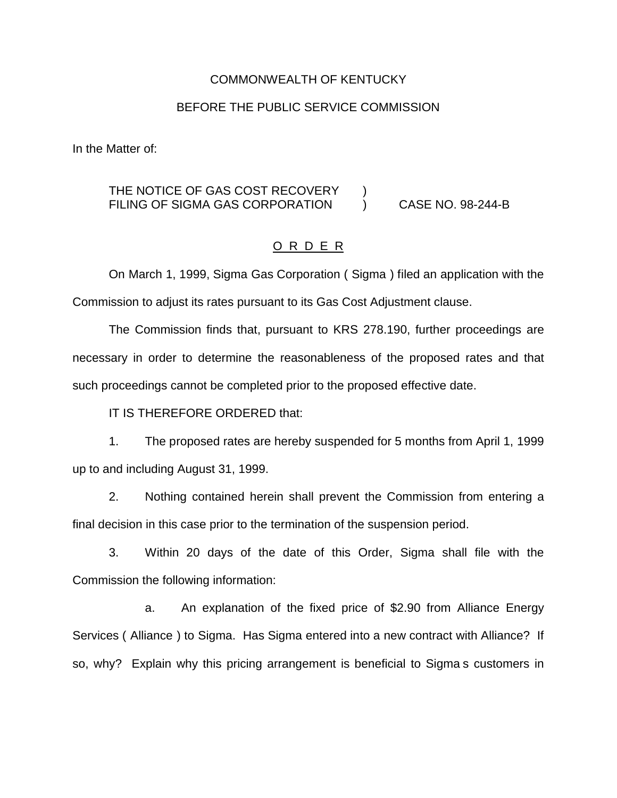## COMMONWEALTH OF KENTUCKY

## BEFORE THE PUBLIC SERVICE COMMISSION

In the Matter of:

## THE NOTICE OF GAS COST RECOVERY ) FILING OF SIGMA GAS CORPORATION ) CASE NO. 98-244-B

## O R D E R

On March 1, 1999, Sigma Gas Corporation ( Sigma ) filed an application with the Commission to adjust its rates pursuant to its Gas Cost Adjustment clause.

The Commission finds that, pursuant to KRS 278.190, further proceedings are necessary in order to determine the reasonableness of the proposed rates and that such proceedings cannot be completed prior to the proposed effective date.

IT IS THEREFORE ORDERED that:

1. The proposed rates are hereby suspended for 5 months from April 1, 1999 up to and including August 31, 1999.

2. Nothing contained herein shall prevent the Commission from entering a final decision in this case prior to the termination of the suspension period.

3. Within 20 days of the date of this Order, Sigma shall file with the Commission the following information:

a. An explanation of the fixed price of \$2.90 from Alliance Energy Services ( Alliance ) to Sigma. Has Sigma entered into a new contract with Alliance? If so, why? Explain why this pricing arrangement is beneficial to Sigma s customers in